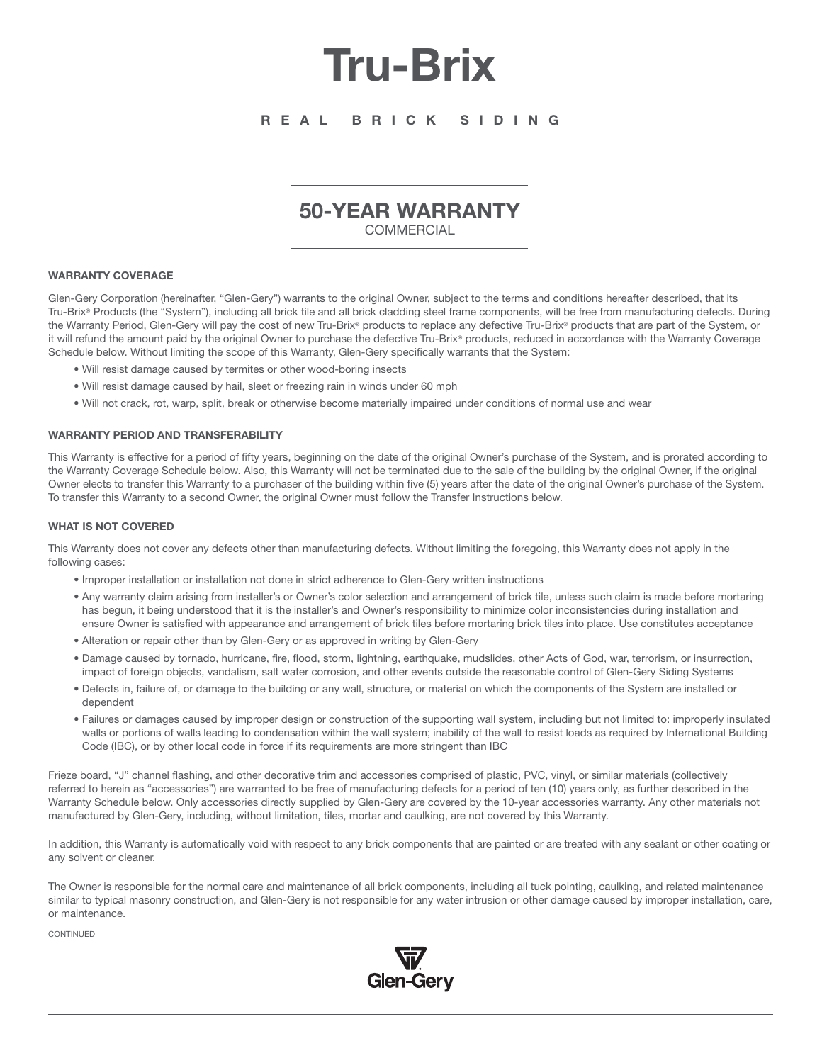# **Tru-Brix**

## **R E A L B R I C K S I D I N G**

# **50-YEAR WARRANTY**

**COMMERCIAL** 

#### **WARRANTY COVERAGE**

Glen-Gery Corporation (hereinafter, "Glen-Gery") warrants to the original Owner, subject to the terms and conditions hereafter described, that its Tru-Brix® Products (the "System"), including all brick tile and all brick cladding steel frame components, will be free from manufacturing defects. During the Warranty Period, Glen-Gery will pay the cost of new Tru-Brix® products to replace any defective Tru-Brix® products that are part of the System, or it will refund the amount paid by the original Owner to purchase the defective Tru-Brix® products, reduced in accordance with the Warranty Coverage Schedule below. Without limiting the scope of this Warranty, Glen-Gery specifically warrants that the System:

- Will resist damage caused by termites or other wood-boring insects
- Will resist damage caused by hail, sleet or freezing rain in winds under 60 mph
- Will not crack, rot, warp, split, break or otherwise become materially impaired under conditions of normal use and wear

#### **WARRANTY PERIOD AND TRANSFERABILITY**

This Warranty is effective for a period of fifty years, beginning on the date of the original Owner's purchase of the System, and is prorated according to the Warranty Coverage Schedule below. Also, this Warranty will not be terminated due to the sale of the building by the original Owner, if the original Owner elects to transfer this Warranty to a purchaser of the building within five (5) years after the date of the original Owner's purchase of the System. To transfer this Warranty to a second Owner, the original Owner must follow the Transfer Instructions below.

#### **WHAT IS NOT COVERED**

This Warranty does not cover any defects other than manufacturing defects. Without limiting the foregoing, this Warranty does not apply in the following cases:

- Improper installation or installation not done in strict adherence to Glen-Gery written instructions
- Any warranty claim arising from installer's or Owner's color selection and arrangement of brick tile, unless such claim is made before mortaring has begun, it being understood that it is the installer's and Owner's responsibility to minimize color inconsistencies during installation and ensure Owner is satisfied with appearance and arrangement of brick tiles before mortaring brick tiles into place. Use constitutes acceptance
- Alteration or repair other than by Glen-Gery or as approved in writing by Glen-Gery
- Damage caused by tornado, hurricane, fire, flood, storm, lightning, earthquake, mudslides, other Acts of God, war, terrorism, or insurrection, impact of foreign objects, vandalism, salt water corrosion, and other events outside the reasonable control of Glen-Gery Siding Systems
- Defects in, failure of, or damage to the building or any wall, structure, or material on which the components of the System are installed or dependent
- Failures or damages caused by improper design or construction of the supporting wall system, including but not limited to: improperly insulated walls or portions of walls leading to condensation within the wall system; inability of the wall to resist loads as required by International Building Code (IBC), or by other local code in force if its requirements are more stringent than IBC

Frieze board, "J" channel flashing, and other decorative trim and accessories comprised of plastic, PVC, vinyl, or similar materials (collectively referred to herein as "accessories") are warranted to be free of manufacturing defects for a period of ten (10) years only, as further described in the Warranty Schedule below. Only accessories directly supplied by Glen-Gery are covered by the 10-year accessories warranty. Any other materials not manufactured by Glen-Gery, including, without limitation, tiles, mortar and caulking, are not covered by this Warranty.

In addition, this Warranty is automatically void with respect to any brick components that are painted or are treated with any sealant or other coating or any solvent or cleaner.

The Owner is responsible for the normal care and maintenance of all brick components, including all tuck pointing, caulking, and related maintenance similar to typical masonry construction, and Glen-Gery is not responsible for any water intrusion or other damage caused by improper installation, care, or maintenance.

CONTINUED

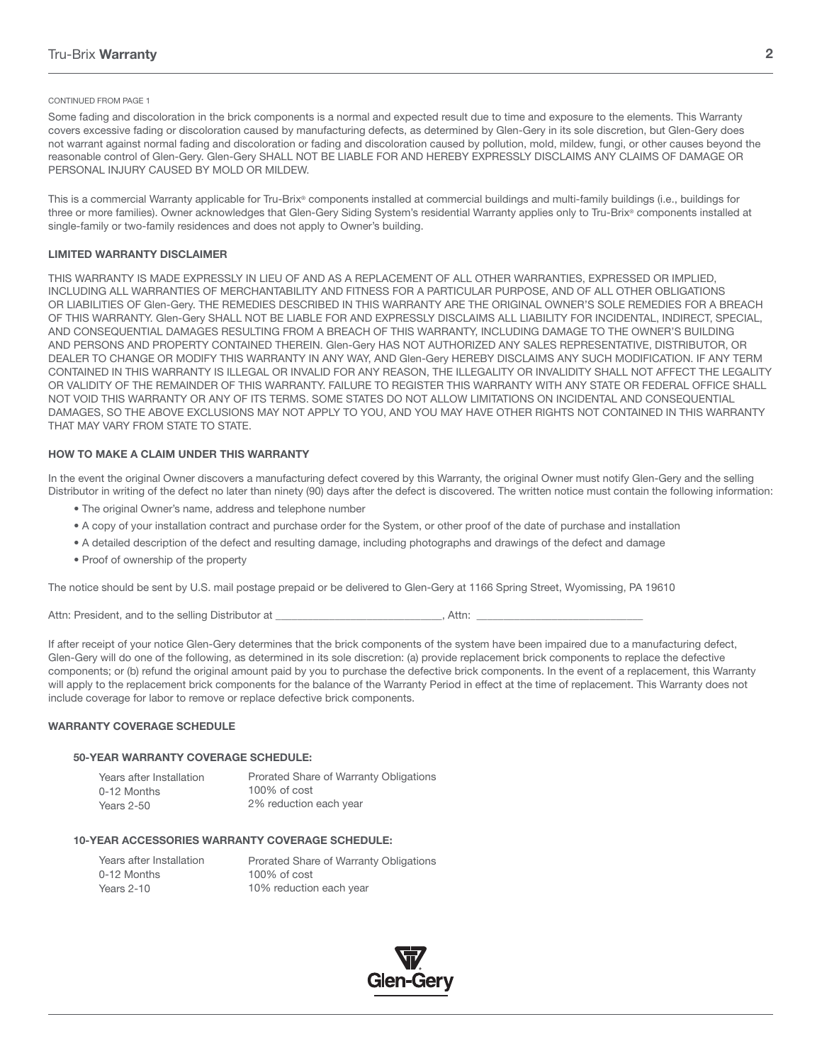#### CONTINUED FROM PAGE 1

Some fading and discoloration in the brick components is a normal and expected result due to time and exposure to the elements. This Warranty covers excessive fading or discoloration caused by manufacturing defects, as determined by Glen-Gery in its sole discretion, but Glen-Gery does not warrant against normal fading and discoloration or fading and discoloration caused by pollution, mold, mildew, fungi, or other causes beyond the reasonable control of Glen-Gery. Glen-Gery SHALL NOT BE LIABLE FOR AND HEREBY EXPRESSLY DISCLAIMS ANY CLAIMS OF DAMAGE OR PERSONAL INJURY CAUSED BY MOLD OR MILDEW.

This is a commercial Warranty applicable for Tru-Brix® components installed at commercial buildings and multi-family buildings (i.e., buildings for three or more families). Owner acknowledges that Glen-Gery Siding System's residential Warranty applies only to Tru-Brix® components installed at single-family or two-family residences and does not apply to Owner's building.

#### **LIMITED WARRANTY DISCLAIMER**

THIS WARRANTY IS MADE EXPRESSLY IN LIEU OF AND AS A REPLACEMENT OF ALL OTHER WARRANTIES, EXPRESSED OR IMPLIED, INCLUDING ALL WARRANTIES OF MERCHANTABILITY AND FITNESS FOR A PARTICULAR PURPOSE, AND OF ALL OTHER OBLIGATIONS OR LIABILITIES OF Glen-Gery. THE REMEDIES DESCRIBED IN THIS WARRANTY ARE THE ORIGINAL OWNER'S SOLE REMEDIES FOR A BREACH OF THIS WARRANTY. Glen-Gery SHALL NOT BE LIABLE FOR AND EXPRESSLY DISCLAIMS ALL LIABILITY FOR INCIDENTAL, INDIRECT, SPECIAL, AND CONSEQUENTIAL DAMAGES RESULTING FROM A BREACH OF THIS WARRANTY, INCLUDING DAMAGE TO THE OWNER'S BUILDING AND PERSONS AND PROPERTY CONTAINED THEREIN. Glen-Gery HAS NOT AUTHORIZED ANY SALES REPRESENTATIVE, DISTRIBUTOR, OR DEALER TO CHANGE OR MODIFY THIS WARRANTY IN ANY WAY, AND Glen-Gery HEREBY DISCLAIMS ANY SUCH MODIFICATION. IF ANY TERM CONTAINED IN THIS WARRANTY IS ILLEGAL OR INVALID FOR ANY REASON, THE ILLEGALITY OR INVALIDITY SHALL NOT AFFECT THE LEGALITY OR VALIDITY OF THE REMAINDER OF THIS WARRANTY. FAILURE TO REGISTER THIS WARRANTY WITH ANY STATE OR FEDERAL OFFICE SHALL NOT VOID THIS WARRANTY OR ANY OF ITS TERMS. SOME STATES DO NOT ALLOW LIMITATIONS ON INCIDENTAL AND CONSEQUENTIAL DAMAGES, SO THE ABOVE EXCLUSIONS MAY NOT APPLY TO YOU, AND YOU MAY HAVE OTHER RIGHTS NOT CONTAINED IN THIS WARRANTY THAT MAY VARY FROM STATE TO STATE.

#### **HOW TO MAKE A CLAIM UNDER THIS WARRANTY**

In the event the original Owner discovers a manufacturing defect covered by this Warranty, the original Owner must notify Glen-Gery and the selling Distributor in writing of the defect no later than ninety (90) days after the defect is discovered. The written notice must contain the following information:

- The original Owner's name, address and telephone number
- A copy of your installation contract and purchase order for the System, or other proof of the date of purchase and installation
- A detailed description of the defect and resulting damage, including photographs and drawings of the defect and damage
- Proof of ownership of the property

The notice should be sent by U.S. mail postage prepaid or be delivered to Glen-Gery at 1166 Spring Street, Wyomissing, PA 19610

Attn: President, and to the selling Distributor at \_\_\_\_\_\_\_\_\_\_\_\_\_\_\_\_\_\_\_\_\_\_\_\_\_\_\_, Attn:

If after receipt of your notice Glen-Gery determines that the brick components of the system have been impaired due to a manufacturing defect, Glen-Gery will do one of the following, as determined in its sole discretion: (a) provide replacement brick components to replace the defective components; or (b) refund the original amount paid by you to purchase the defective brick components. In the event of a replacement, this Warranty will apply to the replacement brick components for the balance of the Warranty Period in effect at the time of replacement. This Warranty does not include coverage for labor to remove or replace defective brick components.

#### **WARRANTY COVERAGE SCHEDULE**

#### **50-YEAR WARRANTY COVERAGE SCHEDULE:**

| Years after Installation | Prorated Share of Warranty Obligations |
|--------------------------|----------------------------------------|
| 0-12 Months              | $100\%$ of cost                        |
| Years 2-50               | 2% reduction each year                 |

#### **10-YEAR ACCESSORIES WARRANTY COVERAGE SCHEDULE:**

| Years after Installation | Prorated Share of Warranty Obligations |
|--------------------------|----------------------------------------|
| 0-12 Months              | $100\%$ of cost                        |
| Years 2-10               | 10% reduction each year                |